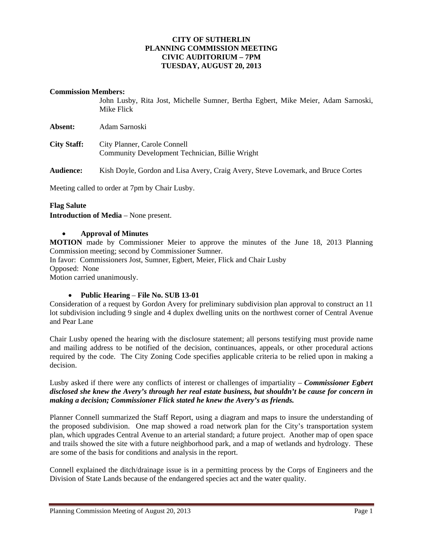## **CITY OF SUTHERLIN PLANNING COMMISSION MEETING CIVIC AUDITORIUM – 7PM TUESDAY, AUGUST 20, 2013**

#### **Commission Members:**

John Lusby, Rita Jost, Michelle Sumner, Bertha Egbert, Mike Meier, Adam Sarnoski, Mike Flick

| <b>Absent:</b>     | Adam Sarnoski                                                                   |
|--------------------|---------------------------------------------------------------------------------|
| <b>City Staff:</b> | City Planner, Carole Connell<br>Community Development Technician, Billie Wright |

**Audience:** Kish Doyle, Gordon and Lisa Avery, Craig Avery, Steve Lovemark, and Bruce Cortes

Meeting called to order at 7pm by Chair Lusby.

#### **Flag Salute**

**Introduction of Media** – None present.

#### **Approval of Minutes**

**MOTION** made by Commissioner Meier to approve the minutes of the June 18, 2013 Planning Commission meeting; second by Commissioner Sumner.

In favor: Commissioners Jost, Sumner, Egbert, Meier, Flick and Chair Lusby Opposed:None

Motion carried unanimously.

## **Public Hearing** – **File No. SUB 13-01**

Consideration of a request by Gordon Avery for preliminary subdivision plan approval to construct an 11 lot subdivision including 9 single and 4 duplex dwelling units on the northwest corner of Central Avenue and Pear Lane

Chair Lusby opened the hearing with the disclosure statement; all persons testifying must provide name and mailing address to be notified of the decision, continuances, appeals, or other procedural actions required by the code. The City Zoning Code specifies applicable criteria to be relied upon in making a decision.

## Lusby asked if there were any conflicts of interest or challenges of impartiality – *Commissioner Egbert disclosed she knew the Avery's through her real estate business, but shouldn't be cause for concern in making a decision; Commissioner Flick stated he knew the Avery's as friends.*

Planner Connell summarized the Staff Report, using a diagram and maps to insure the understanding of the proposed subdivision. One map showed a road network plan for the City's transportation system plan, which upgrades Central Avenue to an arterial standard; a future project. Another map of open space and trails showed the site with a future neighborhood park, and a map of wetlands and hydrology. These are some of the basis for conditions and analysis in the report.

Connell explained the ditch/drainage issue is in a permitting process by the Corps of Engineers and the Division of State Lands because of the endangered species act and the water quality.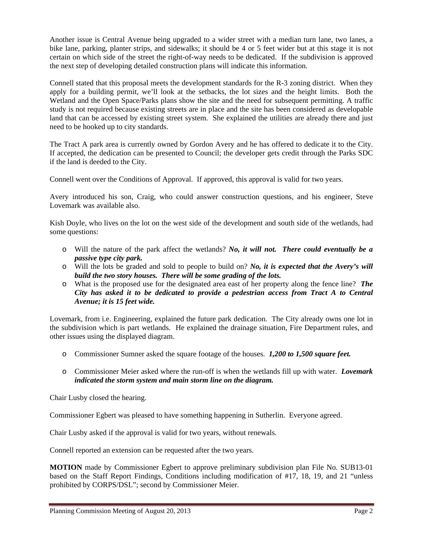Another issue is Central Avenue being upgraded to a wider street with a median turn lane, two lanes, a bike lane, parking, planter strips, and sidewalks; it should be 4 or 5 feet wider but at this stage it is not certain on which side of the street the right-of-way needs to be dedicated. If the subdivision is approved the next step of developing detailed construction plans will indicate this information.

Connell stated that this proposal meets the development standards for the R-3 zoning district. When they apply for a building permit, we'll look at the setbacks, the lot sizes and the height limits. Both the Wetland and the Open Space/Parks plans show the site and the need for subsequent permitting. A traffic study is not required because existing streets are in place and the site has been considered as developable land that can be accessed by existing street system. She explained the utilities are already there and just need to be hooked up to city standards.

The Tract A park area is currently owned by Gordon Avery and he has offered to dedicate it to the City. If accepted, the dedication can be presented to Council; the developer gets credit through the Parks SDC if the land is deeded to the City.

Connell went over the Conditions of Approval. If approved, this approval is valid for two years.

Avery introduced his son, Craig, who could answer construction questions, and his engineer, Steve Lovemark was available also.

Kish Doyle, who lives on the lot on the west side of the development and south side of the wetlands, had some questions:

- o Will the nature of the park affect the wetlands? *No, it will not. There could eventually be a passive type city park.*
- o Will the lots be graded and sold to people to build on? *No, it is expected that the Avery's will build the two story houses. There will be some grading of the lots.*
- o What is the proposed use for the designated area east of her property along the fence line? *The City has asked it to be dedicated to provide a pedestrian access from Tract A to Central Avenue; it is 15 feet wide.*

Lovemark, from i.e. Engineering, explained the future park dedication. The City already owns one lot in the subdivision which is part wetlands. He explained the drainage situation, Fire Department rules, and other issues using the displayed diagram.

- o Commissioner Sumner asked the square footage of the houses. *1,200 to 1,500 square feet.*
- o Commissioner Meier asked where the run-off is when the wetlands fill up with water. *Lovemark indicated the storm system and main storm line on the diagram.*

Chair Lusby closed the hearing.

Commissioner Egbert was pleased to have something happening in Sutherlin. Everyone agreed.

Chair Lusby asked if the approval is valid for two years, without renewals.

Connell reported an extension can be requested after the two years.

**MOTION** made by Commissioner Egbert to approve preliminary subdivision plan File No. SUB13-01 based on the Staff Report Findings, Conditions including modification of #17, 18, 19, and 21 "unless prohibited by CORPS/DSL"; second by Commissioner Meier.